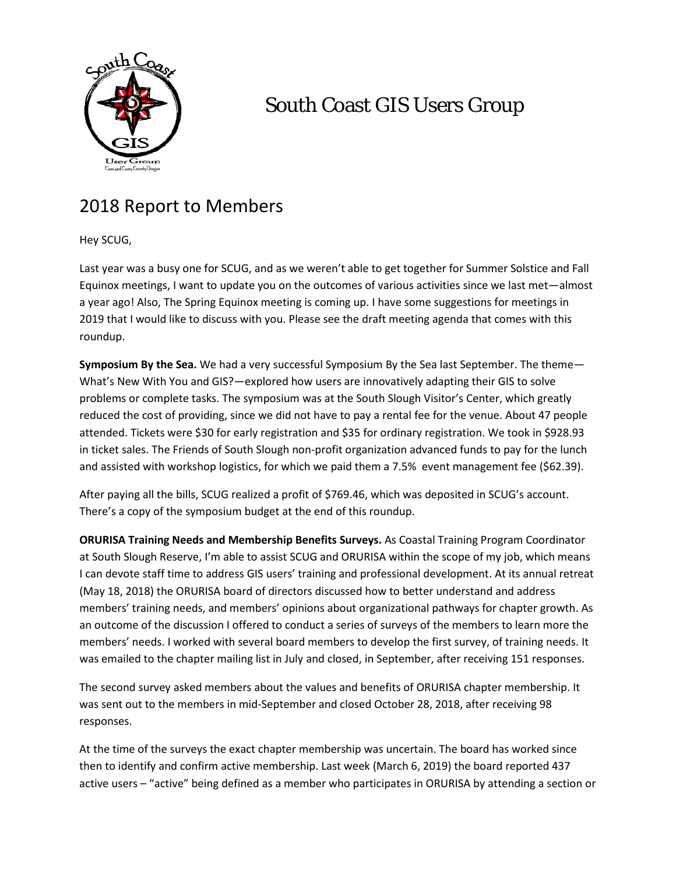

## South Coast GIS Users Group

## 2018 Report to Members

Hey SCUG,

Last year was a busy one for SCUG, and as we weren't able to get together for Summer Solstice and Fall Equinox meetings, I want to update you on the outcomes of various activities since we last met—almost a year ago! Also, The Spring Equinox meeting is coming up. I have some suggestions for meetings in 2019 that I would like to discuss with you. Please see the draft meeting agenda that comes with this roundup.

**Symposium By the Sea.** We had a very successful Symposium By the Sea last September. The theme— What's New With You and GIS?—explored how users are innovatively adapting their GIS to solve problems or complete tasks. The symposium was at the South Slough Visitor's Center, which greatly reduced the cost of providing, since we did not have to pay a rental fee for the venue. About 47 people attended. Tickets were \$30 for early registration and \$35 for ordinary registration. We took in \$928.93 in ticket sales. The Friends of South Slough non-profit organization advanced funds to pay for the lunch and assisted with workshop logistics, for which we paid them a 7.5% event management fee (\$62.39).

After paying all the bills, SCUG realized a profit of \$769.46, which was deposited in SCUG's account. There's a copy of the symposium budget at the end of this roundup.

**ORURISA Training Needs and Membership Benefits Surveys.** As Coastal Training Program Coordinator at South Slough Reserve, I'm able to assist SCUG and ORURISA within the scope of my job, which means I can devote staff time to address GIS users' training and professional development. At its annual retreat (May 18, 2018) the ORURISA board of directors discussed how to better understand and address members' training needs, and members' opinions about organizational pathways for chapter growth. As an outcome of the discussion I offered to conduct a series of surveys of the members to learn more the members' needs. I worked with several board members to develop the first survey, of training needs. It was emailed to the chapter mailing list in July and closed, in September, after receiving 151 responses.

The second survey asked members about the values and benefits of ORURISA chapter membership. It was sent out to the members in mid-September and closed October 28, 2018, after receiving 98 responses.

At the time of the surveys the exact chapter membership was uncertain. The board has worked since then to identify and confirm active membership. Last week (March 6, 2019) the board reported 437 active users – "active" being defined as a member who participates in ORURISA by attending a section or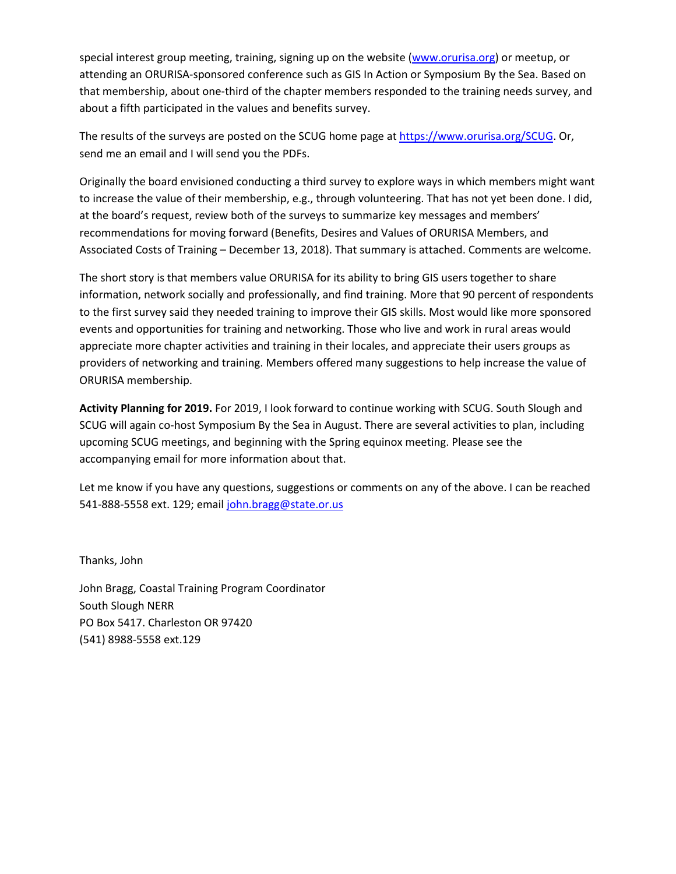special interest group meeting, training, signing up on the website [\(www.orurisa.org\)](http://www.orurisa.org/) or meetup, or attending an ORURISA-sponsored conference such as GIS In Action or Symposium By the Sea. Based on that membership, about one-third of the chapter members responded to the training needs survey, and about a fifth participated in the values and benefits survey.

The results of the surveys are posted on the SCUG home page at [https://www.orurisa.org/SCUG.](https://www.orurisa.org/SCUG) Or, send me an email and I will send you the PDFs.

Originally the board envisioned conducting a third survey to explore ways in which members might want to increase the value of their membership, e.g., through volunteering. That has not yet been done. I did, at the board's request, review both of the surveys to summarize key messages and members' recommendations for moving forward (Benefits, Desires and Values of ORURISA Members, and Associated Costs of Training – December 13, 2018). That summary is attached. Comments are welcome.

The short story is that members value ORURISA for its ability to bring GIS users together to share information, network socially and professionally, and find training. More that 90 percent of respondents to the first survey said they needed training to improve their GIS skills. Most would like more sponsored events and opportunities for training and networking. Those who live and work in rural areas would appreciate more chapter activities and training in their locales, and appreciate their users groups as providers of networking and training. Members offered many suggestions to help increase the value of ORURISA membership.

**Activity Planning for 2019.** For 2019, I look forward to continue working with SCUG. South Slough and SCUG will again co-host Symposium By the Sea in August. There are several activities to plan, including upcoming SCUG meetings, and beginning with the Spring equinox meeting. Please see the accompanying email for more information about that.

Let me know if you have any questions, suggestions or comments on any of the above. I can be reached 541-888-5558 ext. 129; email [john.bragg@state.or.us](mailto:john.bragg@state.or.us)

Thanks, John

John Bragg, Coastal Training Program Coordinator South Slough NERR PO Box 5417. Charleston OR 97420 (541) 8988-5558 ext.129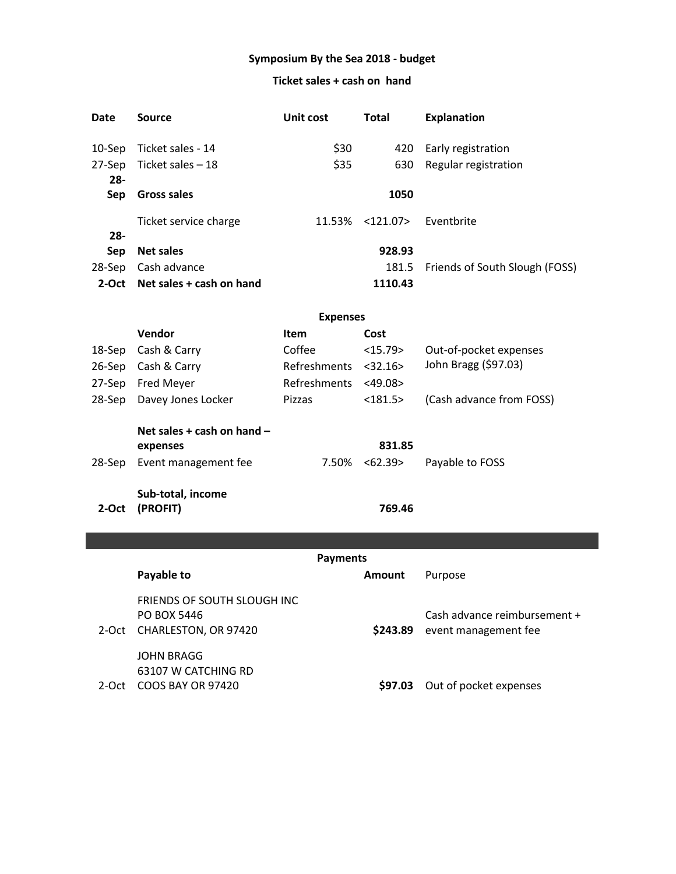#### **Symposium By the Sea 2018 - budget**

#### **Ticket sales + cash on hand**

| Date       | Source                   | Unit cost | <b>Total</b> | <b>Explanation</b>             |
|------------|--------------------------|-----------|--------------|--------------------------------|
| $10-$ Sep  | Ticket sales - 14        | \$30      | 420          | Early registration             |
| 27-Sep     | Ticket sales - 18        | \$35      | 630          | Regular registration           |
| $28 -$     |                          |           |              |                                |
| <b>Sep</b> | Gross sales              |           | 1050         |                                |
|            | Ticket service charge    | 11.53%    | $<$ 121.07>  | Eventbrite                     |
| $28 -$     |                          |           |              |                                |
| <b>Sep</b> | <b>Net sales</b>         |           | 928.93       |                                |
| 28-Sep     | Cash advance             |           | 181.5        | Friends of South Slough (FOSS) |
| 2-Oct      | Net sales + cash on hand |           | 1110.43      |                                |

|          | Vendor                                     | Item                | Cost          |                          |
|----------|--------------------------------------------|---------------------|---------------|--------------------------|
| 18-Sep   | Cash & Carry                               | Coffee              | <15.79>       | Out-of-pocket expenses   |
| $26-Sep$ | Cash & Carry                               | <b>Refreshments</b> | < 32.16       | John Bragg (\$97.03)     |
| 27-Sep   | <b>Fred Meyer</b>                          | Refreshments        | $<$ 49.08 $>$ |                          |
| 28-Sep   | Davey Jones Locker                         | <b>Pizzas</b>       | $<$ 181.5 $>$ | (Cash advance from FOSS) |
|          | Net sales $+$ cash on hand $-$<br>expenses |                     | 831.85        |                          |
| 28-Sep   | Event management fee                       | 7.50%               | < 62.39>      | Payable to FOSS          |
| 2-Oct    | Sub-total, income<br>(PROFIT)              |                     | 769.46        |                          |

**Payments Payable to Amount** Purpose 2-Oct CHARLESTON, OR 97420 **\$243.89**  FRIENDS OF SOUTH SLOUGH INC PO BOX 5446 Cash advance reimbursement + \$243.89 event management fee 2-Oct COOS BAY OR 97420 JOHN BRAGG 63107 W CATCHING RD \$97.03 Out of pocket expenses